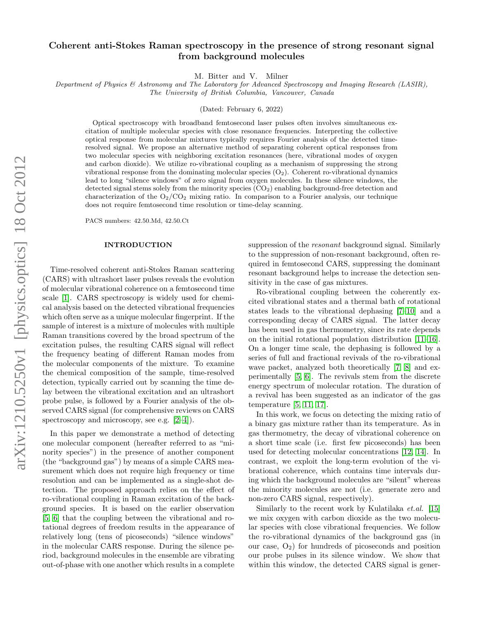## Coherent anti-Stokes Raman spectroscopy in the presence of strong resonant signal from background molecules

M. Bitter and V. Milner

Department of Physics & Astronomy and The Laboratory for Advanced Spectroscopy and Imaging Research (LASIR),

The University of British Columbia, Vancouver, Canada

(Dated: February 6, 2022)

Optical spectroscopy with broadband femtosecond laser pulses often involves simultaneous excitation of multiple molecular species with close resonance frequencies. Interpreting the collective optical response from molecular mixtures typically requires Fourier analysis of the detected timeresolved signal. We propose an alternative method of separating coherent optical responses from two molecular species with neighboring excitation resonances (here, vibrational modes of oxygen and carbon dioxide). We utilize ro-vibrational coupling as a mechanism of suppressing the strong vibrational response from the dominating molecular species  $(O_2)$ . Coherent ro-vibrational dynamics lead to long "silence windows" of zero signal from oxygen molecules. In these silence windows, the detected signal stems solely from the minority species  $(CO<sub>2</sub>)$  enabling background-free detection and characterization of the  $O_2/CO_2$  mixing ratio. In comparison to a Fourier analysis, our technique does not require femtosecond time resolution or time-delay scanning.

PACS numbers: 42.50.Md, 42.50.Ct

## INTRODUCTION

Time-resolved coherent anti-Stokes Raman scattering (CARS) with ultrashort laser pulses reveals the evolution of molecular vibrational coherence on a femtosecond time scale [\[1\]](#page-3-0). CARS spectroscopy is widely used for chemical analysis based on the detected vibrational frequencies which often serve as a unique molecular fingerprint. If the sample of interest is a mixture of molecules with multiple Raman transitions covered by the broad spectrum of the excitation pulses, the resulting CARS signal will reflect the frequency beating of different Raman modes from the molecular components of the mixture. To examine the chemical composition of the sample, time-resolved detection, typically carried out by scanning the time delay between the vibrational excitation and an ultrashort probe pulse, is followed by a Fourier analysis of the observed CARS signal (for comprehensive reviews on CARS spectroscopy and microscopy, see e.g.  $[2-4]$  $[2-4]$ .

In this paper we demonstrate a method of detecting one molecular component (hereafter referred to as "minority species") in the presence of another component (the "background gas") by means of a simple CARS measurement which does not require high frequency or time resolution and can be implemented as a single-shot detection. The proposed approach relies on the effect of ro-vibrational coupling in Raman excitation of the background species. It is based on the earlier observation [\[5,](#page-3-3) [6\]](#page-3-4) that the coupling between the vibrational and rotational degrees of freedom results in the appearance of relatively long (tens of picoseconds) "silence windows" in the molecular CARS response. During the silence period, background molecules in the ensemble are vibrating out-of-phase with one another which results in a complete

suppression of the resonant background signal. Similarly to the suppression of non-resonant background, often required in femtosecond CARS, suppressing the dominant resonant background helps to increase the detection sensitivity in the case of gas mixtures.

Ro-vibrational coupling between the coherently excited vibrational states and a thermal bath of rotational states leads to the vibrational dephasing [\[7–](#page-3-5)[10\]](#page-3-6) and a corresponding decay of CARS signal. The latter decay has been used in gas thermometry, since its rate depends on the initial rotational population distribution [\[11–](#page-3-7)[16\]](#page-3-8). On a longer time scale, the dephasing is followed by a series of full and fractional revivals of the ro-vibrational wave packet, analyzed both theoretically [\[7,](#page-3-5) [8\]](#page-3-9) and experimentally [\[5,](#page-3-3) [6\]](#page-3-4). The revivals stem from the discrete energy spectrum of molecular rotation. The duration of a revival has been suggested as an indicator of the gas temperature [\[5,](#page-3-3) [11,](#page-3-7) [17\]](#page-3-10).

In this work, we focus on detecting the mixing ratio of a binary gas mixture rather than its temperature. As in gas thermometry, the decay of vibrational coherence on a short time scale (i.e. first few picoseconds) has been used for detecting molecular concentrations [\[12,](#page-3-11) [14\]](#page-3-12). In contrast, we exploit the long-term evolution of the vibrational coherence, which contains time intervals during which the background molecules are "silent" whereas the minority molecules are not (i.e. generate zero and non-zero CARS signal, respectively).

Similarly to the recent work by Kulatilaka et.al. [\[15\]](#page-3-13) we mix oxygen with carbon dioxide as the two molecular species with close vibrational frequencies. We follow the ro-vibrational dynamics of the background gas (in our case,  $O_2$ ) for hundreds of picoseconds and position our probe pulses in its silence window. We show that within this window, the detected CARS signal is gener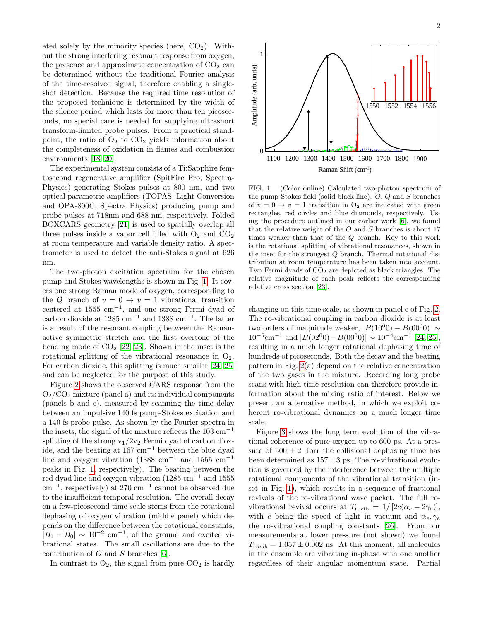ated solely by the minority species (here,  $CO<sub>2</sub>$ ). Without the strong interfering resonant response from oxygen, the presence and approximate concentration of  $CO<sub>2</sub>$  can be determined without the traditional Fourier analysis of the time-resolved signal, therefore enabling a singleshot detection. Because the required time resolution of the proposed technique is determined by the width of the silence period which lasts for more than ten picoseconds, no special care is needed for supplying ultrashort transform-limited probe pulses. From a practical standpoint, the ratio of  $O_2$  to  $CO_2$  yields information about the completeness of oxidation in flames and combustion environments [\[18–](#page-4-0)[20\]](#page-4-1).

The experimental system consists of a Ti:Sapphire femtosecond regenerative amplifier (SpitFire Pro, Spectra-Physics) generating Stokes pulses at 800 nm, and two optical parametric amplifiers (TOPAS, Light Conversion and OPA-800C, Spectra Physics) producing pump and probe pulses at 718nm and 688 nm, respectively. Folded BOXCARS geometry [\[21\]](#page-4-2) is used to spatially overlap all three pulses inside a vapor cell filled with  $O_2$  and  $CO_2$ at room temperature and variable density ratio. A spectrometer is used to detect the anti-Stokes signal at 626 nm.

The two-photon excitation spectrum for the chosen pump and Stokes wavelengths is shown in Fig. [1.](#page-1-0) It covers one strong Raman mode of oxygen, corresponding to the Q branch of  $v = 0 \rightarrow v = 1$  vibrational transition centered at  $1555 \text{ cm}^{-1}$ , and one strong Fermi dyad of carbon dioxide at  $1285 \text{ cm}^{-1}$  and  $1388 \text{ cm}^{-1}$ . The latter is a result of the resonant coupling between the Ramanactive symmetric stretch and the first overtone of the bending mode of  $CO<sub>2</sub>$  [\[22,](#page-4-3) [23\]](#page-4-4). Shown in the inset is the rotational splitting of the vibrational resonance in  $O_2$ . For carbon dioxide, this splitting is much smaller [\[24,](#page-4-5) [25\]](#page-4-6) and can be neglected for the purpose of this study.

Figure [2](#page-2-0) shows the observed CARS response from the  $O_2/CO_2$  mixture (panel a) and its individual components (panels b and c), measured by scanning the time delay between an impulsive 140 fs pump-Stokes excitation and a 140 fs probe pulse. As shown by the Fourier spectra in the insets, the signal of the mixture reflects the  $103 \text{ cm}^{-1}$ splitting of the strong  $v_1/2v_2$  Fermi dyad of carbon dioxide, and the beating at 167 cm<sup>−</sup><sup>1</sup> between the blue dyad line and oxygen vibration (1388 cm<sup>-1</sup> and 1555 cm<sup>-1</sup> peaks in Fig. [1,](#page-1-0) respectively). The beating between the red dyad line and oxygen vibration (1285 cm<sup>−</sup><sup>1</sup> and 1555 cm<sup>−</sup><sup>1</sup> , respectively) at 270 cm<sup>−</sup><sup>1</sup> cannot be observed due to the insufficient temporal resolution. The overall decay on a few-picosecond time scale stems from the rotational dephasing of oxygen vibration (middle panel) which depends on the difference between the rotational constants,  $|B_1 - B_0| \sim 10^{-2}$  cm<sup>-1</sup>, of the ground and excited vibrational states. The small oscillations are due to the contribution of  $O$  and  $S$  branches [\[6\]](#page-3-4).

In contrast to  $O_2$ , the signal from pure  $CO_2$  is hardly

1550 1552 1554 1556 1100 1200 1300 1400 1500 1600 1700 1800 1900  $1<sup>1</sup>$ 

Amplitude (arb. units)

Amplitude (arb. units)

0

Raman Shift (cm-1 )

<span id="page-1-0"></span>FIG. 1: (Color online) Calculated two-photon spectrum of the pump-Stokes field (solid black line). O, Q and S branches of  $v = 0 \rightarrow v = 1$  transition in  $O_2$  are indicated with green rectangles, red circles and blue diamonds, respectively. Using the procedure outlined in our earlier work [\[6\]](#page-3-4), we found that the relative weight of the  $O$  and  $S$  branches is about 17 times weaker than that of the Q branch. Key to this work is the rotational splitting of vibrational resonances, shown in the inset for the strongest Q branch. Thermal rotational distribution at room temperature has been taken into account. Two Fermi dyads of  $CO<sub>2</sub>$  are depicted as black triangles. The relative magnitude of each peak reflects the corresponding relative cross section [\[23\]](#page-4-4).

changing on this time scale, as shown in panel c of Fig. [2.](#page-2-0) The ro-vibrational coupling in carbon dioxide is at least two orders of magnitude weaker,  $|B(10^00) - B(00^00)| \sim$  $10^{-5}$ cm<sup>-1</sup> and  $|B(02^00) - B(00^00)| \sim 10^{-4}$ cm<sup>-1</sup> [\[24,](#page-4-5) [25\]](#page-4-6), resulting in a much longer rotational dephasing time of hundreds of picoseconds. Both the decay and the beating pattern in Fig. [2\(](#page-2-0)a) depend on the relative concentration of the two gases in the mixture. Recording long probe scans with high time resolution can therefore provide information about the mixing ratio of interest. Below we present an alternative method, in which we exploit coherent ro-vibrational dynamics on a much longer time scale.

Figure [3](#page-2-1) shows the long term evolution of the vibrational coherence of pure oxygen up to 600 ps. At a pressure of  $300 \pm 2$  Torr the collisional dephasing time has been determined as  $157 \pm 3$  ps. The ro-vibrational evolution is governed by the interference between the multiple rotational components of the vibrational transition (inset in Fig. [1\)](#page-1-0), which results in a sequence of fractional revivals of the ro-vibrational wave packet. The full rovibrational revival occurs at  $T_{\text{rovib}} = 1/[2c(\alpha_e - 2\gamma_e)],$ with c being the speed of light in vacuum and  $\alpha_e, \gamma_e$ the ro-vibrational coupling constants [\[26\]](#page-4-7). From our measurements at lower pressure (not shown) we found  $T_{rovib} = 1.057 \pm 0.002$  ns. At this moment, all molecules in the ensemble are vibrating in-phase with one another regardless of their angular momentum state. Partial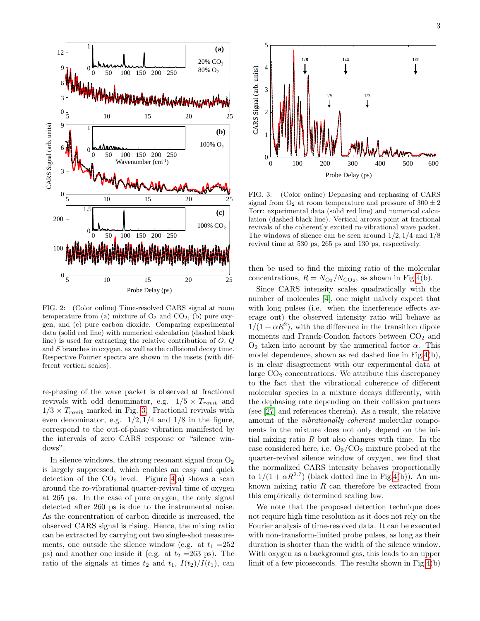

<span id="page-2-0"></span>FIG. 2: (Color online) Time-resolved CARS signal at room temperature from (a) mixture of  $O_2$  and  $CO_2$ , (b) pure oxygen, and (c) pure carbon dioxide. Comparing experimental data (solid red line) with numerical calculation (dashed black line) is used for extracting the relative contribution of  $O, Q$ and S branches in oxygen, as well as the collisional decay time. Respective Fourier spectra are shown in the insets (with different vertical scales).

re-phasing of the wave packet is observed at fractional revivals with odd denominator, e.g.  $1/5 \times T_{rovib}$  and  $1/3 \times T_{rovib}$  marked in Fig. [3.](#page-2-1) Fractional revivals with even denominator, e.g.  $1/2$ ,  $1/4$  and  $1/8$  in the figure, correspond to the out-of-phase vibration manifested by the intervals of zero CARS response or "silence windows".

In silence windows, the strong resonant signal from  $O_2$ is largely suppressed, which enables an easy and quick detection of the  $CO<sub>2</sub>$  level. Figure [4\(](#page-3-14)a) shows a scan around the ro-vibrational quarter-revival time of oxygen at 265 ps. In the case of pure oxygen, the only signal detected after 260 ps is due to the instrumental noise. As the concentration of carbon dioxide is increased, the observed CARS signal is rising. Hence, the mixing ratio can be extracted by carrying out two single-shot measurements, one outside the silence window (e.g. at  $t_1 = 252$ ) ps) and another one inside it (e.g. at  $t_2 = 263$  ps). The ratio of the signals at times  $t_2$  and  $t_1$ ,  $I(t_2)/I(t_1)$ , can



<span id="page-2-1"></span>FIG. 3: (Color online) Dephasing and rephasing of CARS signal from  $O_2$  at room temperature and pressure of  $300 \pm 2$ Torr: experimental data (solid red line) and numerical calculation (dashed black line). Vertical arrows point at fractional revivals of the coherently excited ro-vibrational wave packet. The windows of silence can be seen around  $1/2$ ,  $1/4$  and  $1/8$ revival time at 530 ps, 265 ps and 130 ps, respectively.

then be used to find the mixing ratio of the molecular concentrations,  $R = N_{\text{O}_2}/N_{\text{CO}_2}$ , as shown in Fig[.4\(](#page-3-14)b).

Since CARS intensity scales quadratically with the number of molecules [\[4\]](#page-3-2), one might naïvely expect that with long pulses (i.e. when the interference effects average out) the observed intensity ratio will behave as  $1/(1 + \alpha R^2)$ , with the difference in the transition dipole moments and Franck-Condon factors between  $CO<sub>2</sub>$  and  $O_2$  taken into account by the numerical factor  $\alpha$ . This model dependence, shown as red dashed line in Fig[.4\(](#page-3-14)b), is in clear disagreement with our experimental data at large  $CO<sub>2</sub>$  concentrations. We attribute this discrepancy to the fact that the vibrational coherence of different molecular species in a mixture decays differently, with the dephasing rate depending on their collision partners (see [\[27\]](#page-4-8) and references therein). As a result, the relative amount of the vibrationally coherent molecular components in the mixture does not only depend on the initial mixing ratio  $R$  but also changes with time. In the case considered here, i.e.  $O_2/CO_2$  mixture probed at the quarter-revival silence window of oxygen, we find that the normalized CARS intensity behaves proportionally to  $1/(1 + \alpha R^{2.7})$  (black dotted line in Fig[.4\(](#page-3-14)b)). An unknown mixing ratio  $R$  can therefore be extracted from this empirically determined scaling law.

We note that the proposed detection technique does not require high time resolution as it does not rely on the Fourier analysis of time-resolved data. It can be executed with non-transform-limited probe pulses, as long as their duration is shorter than the width of the silence window. With oxygen as a background gas, this leads to an upper limit of a few picoseconds. The results shown in Fig[.4\(](#page-3-14)b)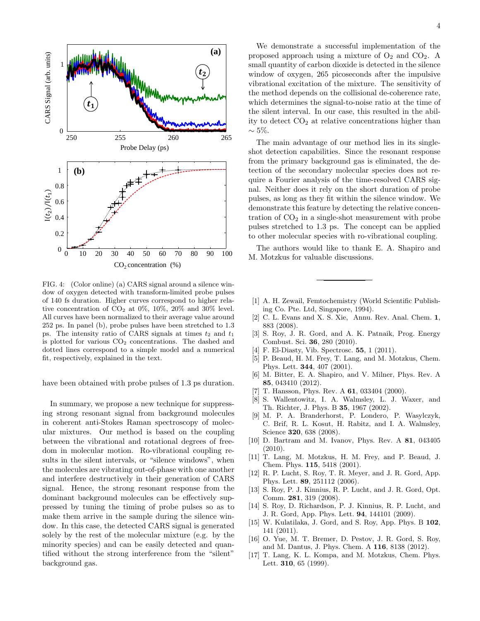

<span id="page-3-14"></span>FIG. 4: (Color online) (a) CARS signal around a silence window of oxygen detected with transform-limited probe pulses of 140 fs duration. Higher curves correspond to higher relative concentration of  $CO_2$  at  $0\%$ ,  $10\%$ ,  $20\%$  and  $30\%$  level. All curves have been normalized to their average value around 252 ps. In panel (b), probe pulses have been stretched to 1.3 ps. The intensity ratio of CARS signals at times  $t_2$  and  $t_1$ is plotted for various  $CO<sub>2</sub>$  concentrations. The dashed and dotted lines correspond to a simple model and a numerical fit, respectively, explained in the text.

have been obtained with probe pulses of 1.3 ps duration.

In summary, we propose a new technique for suppressing strong resonant signal from background molecules in coherent anti-Stokes Raman spectroscopy of molecular mixtures. Our method is based on the coupling between the vibrational and rotational degrees of freedom in molecular motion. Ro-vibrational coupling results in the silent intervals, or "silence windows", when the molecules are vibrating out-of-phase with one another and interfere destructively in their generation of CARS signal. Hence, the strong resonant response from the dominant background molecules can be effectively suppressed by tuning the timing of probe pulses so as to make them arrive in the sample during the silence window. In this case, the detected CARS signal is generated solely by the rest of the molecular mixture (e.g. by the minority species) and can be easily detected and quantified without the strong interference from the "silent" background gas.

We demonstrate a successful implementation of the proposed approach using a mixture of  $O_2$  and  $CO_2$ . A small quantity of carbon dioxide is detected in the silence window of oxygen, 265 picoseconds after the impulsive vibrational excitation of the mixture. The sensitivity of the method depends on the collisional de-coherence rate, which determines the signal-to-noise ratio at the time of the silent interval. In our case, this resulted in the ability to detect  $CO<sub>2</sub>$  at relative concentrations higher than  $\sim$  5\%.

nal. Neither does it rely on the short duration of probe demonstrate this feature by detecting the relative concentration of  $CO<sub>2</sub>$  in a single-shot measurement with probe The main advantage of our method lies in its singleshot detection capabilities. Since the resonant response from the primary background gas is eliminated, the detection of the secondary molecular species does not require a Fourier analysis of the time-resolved CARS sigpulses, as long as they fit within the silence window. We pulses stretched to 1.3 ps. The concept can be applied to other molecular species with ro-vibrational coupling.

The authors would like to thank E. A. Shapiro and M. Motzkus for valuable discussions.

- <span id="page-3-0"></span>[1] A. H. Zewail, Femtochemistry (World Scientific Publishing Co. Pte. Ltd, Singapore, 1994).
- <span id="page-3-1"></span>[2] C. L. Evans and X. S. Xie, Annu. Rev. Anal. Chem. 1, 883 (2008).
- [3] S. Roy, J. R. Gord, and A. K. Patnaik, Prog. Energy Combust. Sci. 36, 280 (2010).
- <span id="page-3-2"></span>[4] F. El-Diasty, Vib. Spectrosc. **55**, 1 (2011).
- <span id="page-3-3"></span>[5] P. Beaud, H. M. Frey, T. Lang, and M. Motzkus, Chem. Phys. Lett. 344, 407 (2001).
- <span id="page-3-4"></span>[6] M. Bitter, E. A. Shapiro, and V. Milner, Phys. Rev. A 85, 043410 (2012).
- <span id="page-3-5"></span>[7] T. Hansson, Phys. Rev. A **61**, 033404 (2000).
- <span id="page-3-9"></span>[8] S. Wallentowitz, I. A. Walmsley, L. J. Waxer, and Th. Richter, J. Phys. B 35, 1967 (2002).
- [9] M. P. A. Branderhorst, P. Londero, P. Wasylczyk, C. Brif, R. L. Kosut, H. Rabitz, and I. A. Walmsley, Science 320, 638 (2008).
- <span id="page-3-6"></span>[10] D. Bartram and M. Ivanov, Phys. Rev. A 81, 043405 (2010).
- <span id="page-3-7"></span>[11] T. Lang, M. Motzkus, H. M. Frey, and P. Beaud, J. Chem. Phys. 115, 5418 (2001).
- <span id="page-3-11"></span>[12] R. P. Lucht, S. Roy, T. R. Meyer, and J. R. Gord, App. Phys. Lett. 89, 251112 (2006).
- [13] S. Roy, P. J. Kinnius, R. P. Lucht, and J. R. Gord, Opt. Comm. 281, 319 (2008).
- <span id="page-3-12"></span>[14] S. Roy, D. Richardson, P. J. Kinnius, R. P. Lucht, and J. R. Gord, App. Phys. Lett. 94, 144101 (2009).
- <span id="page-3-13"></span>[15] W. Kulatilaka, J. Gord, and S. Roy, App. Phys. B 102, 141 (2011).
- <span id="page-3-8"></span>[16] O. Yue, M. T. Bremer, D. Pestov, J. R. Gord, S. Roy, and M. Dantus, J. Phys. Chem. A 116, 8138 (2012).
- <span id="page-3-10"></span>[17] T. Lang, K. L. Kompa, and M. Motzkus, Chem. Phys. Lett. 310, 65 (1999).